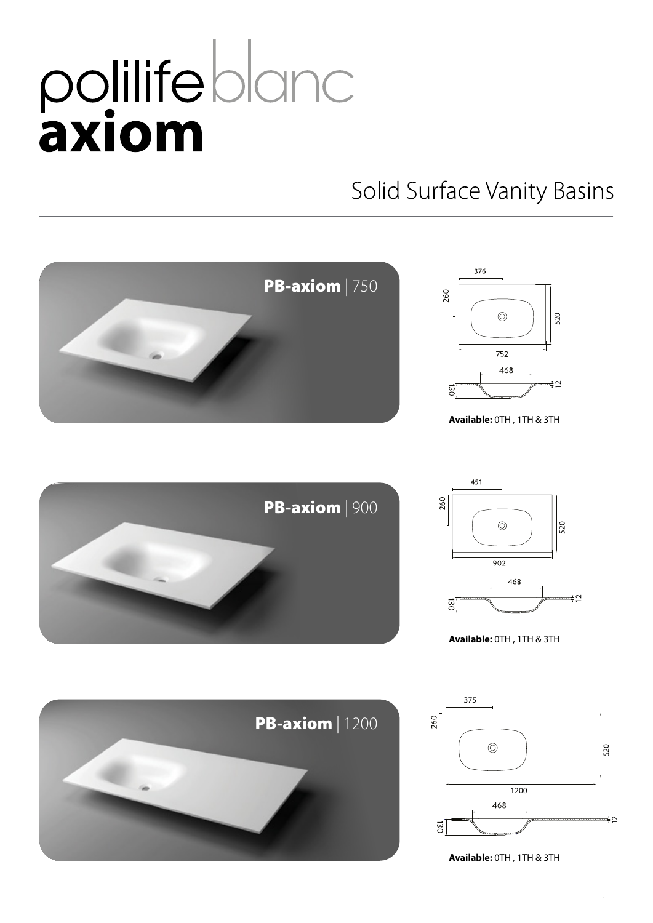## polilifebland<br>axiom

## Solid Surface Vanity Basins